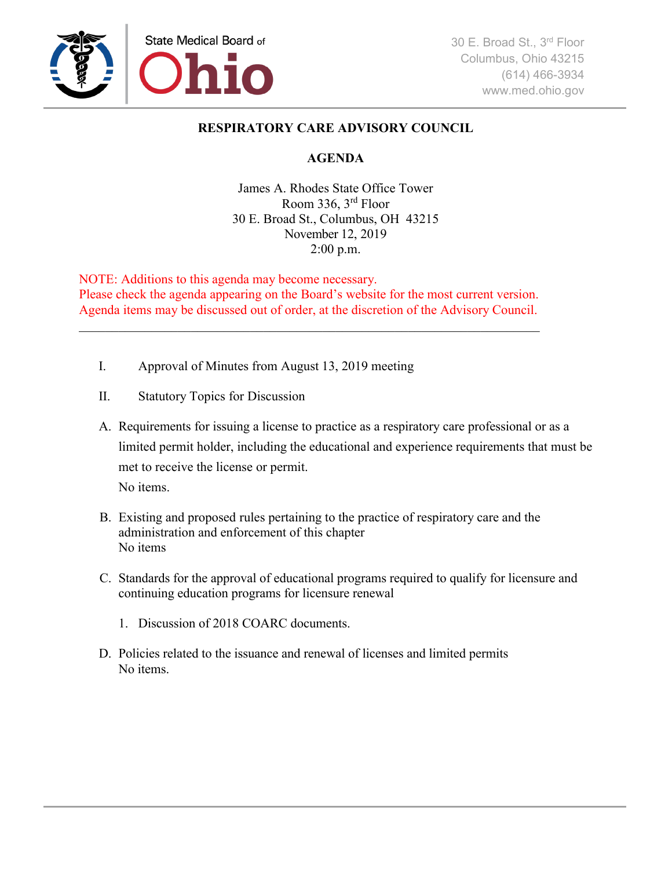

## **RESPIRATORY CARE ADVISORY COUNCIL**

## **AGENDA**

James A. Rhodes State Office Tower Room 336, 3rd Floor 30 E. Broad St., Columbus, OH 43215 November 12, 2019 2:00 p.m.

NOTE: Additions to this agenda may become necessary. Please check the agenda appearing on the Board's website for the most current version. Agenda items may be discussed out of order, at the discretion of the Advisory Council.

\_\_\_\_\_\_\_\_\_\_\_\_\_\_\_\_\_\_\_\_\_\_\_\_\_\_\_\_\_\_\_\_\_\_\_\_\_\_\_\_\_\_\_\_\_\_\_\_\_\_\_\_\_\_\_\_\_\_\_\_\_\_\_\_\_\_\_\_\_\_

- I. Approval of Minutes from August 13, 2019 meeting
- II. Statutory Topics for Discussion
- A. Requirements for issuing a license to practice as a respiratory care professional or as a limited permit holder, including the educational and experience requirements that must be met to receive the license or permit. No items.
- B. Existing and proposed rules pertaining to the practice of respiratory care and the administration and enforcement of this chapter No items
- C. Standards for the approval of educational programs required to qualify for licensure and continuing education programs for licensure renewal
	- 1. Discussion of 2018 COARC documents.
- D. Policies related to the issuance and renewal of licenses and limited permits No items.